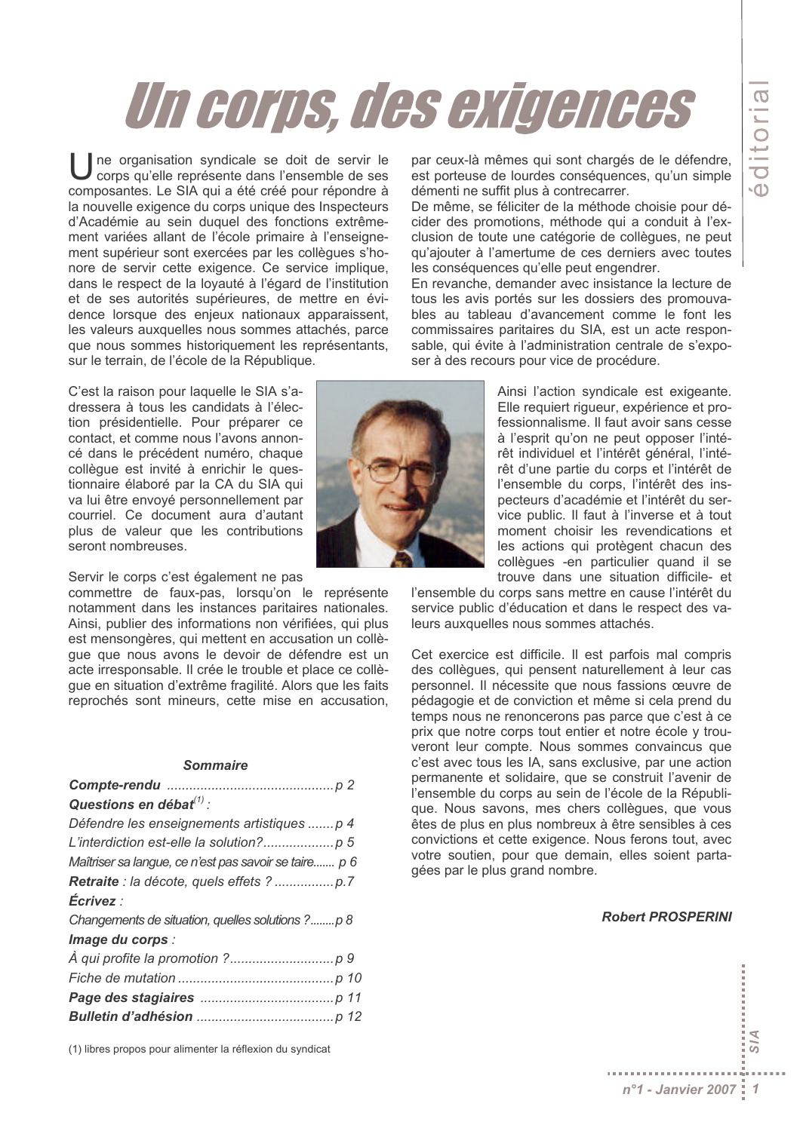# Un corps, des exigences

ne organisation syndicale se doit de servir le corps qu'elle représente dans l'ensemble de ses composantes. Le SIA qui a été créé pour répondre à la nouvelle exigence du corps unique des Inspecteurs d'Académie au sein duquel des fonctions extrêmement variées allant de l'école primaire à l'enseignement supérieur sont exercées par les collègues s'honore de servir cette exigence. Ce service implique, dans le respect de la loyauté à l'égard de l'institution et de ses autorités supérieures, de mettre en évidence lorsque des enjeux nationaux apparaissent, les valeurs auxquelles nous sommes attachés, parce que nous sommes historiquement les représentants, sur le terrain, de l'école de la République.

C'est la raison pour laquelle le SIA s'adressera à tous les candidats à l'élection présidentielle. Pour préparer ce contact, et comme nous l'avons annoncé dans le précédent numéro, chaque collègue est invité à enrichir le questionnaire élaboré par la CA du SIA qui va lui être envoyé personnellement par courriel. Ce document aura d'autant plus de valeur que les contributions seront nombreuses.

Servir le corps c'est également ne pas

commettre de faux-pas, lorsqu'on le représente notamment dans les instances paritaires nationales. Ainsi, publier des informations non vérifiées, qui plus est mensongères, qui mettent en accusation un collèque que nous avons le devoir de défendre est un acte irresponsable. Il crée le trouble et place ce collèque en situation d'extrême fragilité. Alors que les faits reprochés sont mineurs, cette mise en accusation,

#### **Sommaire**

| Questions en débat $(1)$ :                            |
|-------------------------------------------------------|
| Défendre les enseignements artistiques  p 4           |
|                                                       |
| Maîtriser sa langue, ce n'est pas savoir se taire p 6 |
|                                                       |
| Écrivez :                                             |
| Changements de situation, quelles solutions ?p 8      |
| Image du corps :                                      |
|                                                       |
|                                                       |
|                                                       |
|                                                       |

(1) libres propos pour alimenter la réflexion du syndicat

par ceux-là mêmes qui sont chargés de le défendre, est porteuse de lourdes conséquences, qu'un simple démenti ne suffit plus à contrecarrer.

De même, se féliciter de la méthode choisie pour décider des promotions, méthode qui a conduit à l'exclusion de toute une catégorie de collègues, ne peut qu'ajouter à l'amertume de ces derniers avec toutes les conséquences qu'elle peut engendrer.

En revanche, demander avec insistance la lecture de tous les avis portés sur les dossiers des promouvables au tableau d'avancement comme le font les commissaires paritaires du SIA, est un acte responsable, qui évite à l'administration centrale de s'exposer à des recours pour vice de procédure.

> Ainsi l'action syndicale est exigeante. Elle requiert riqueur, expérience et professionnalisme. Il faut avoir sans cesse à l'esprit qu'on ne peut opposer l'intérêt individuel et l'intérêt général, l'intérêt d'une partie du corps et l'intérêt de l'ensemble du corps, l'intérêt des inspecteurs d'académie et l'intérêt du service public. Il faut à l'inverse et à tout moment choisir les revendications et les actions qui protègent chacun des collèques -en particulier quand il se trouve dans une situation difficile- et

l'ensemble du corps sans mettre en cause l'intérêt du service public d'éducation et dans le respect des valeurs auxquelles nous sommes attachés.

Cet exercice est difficile. Il est parfois mal compris des collègues, qui pensent naturellement à leur cas personnel. Il nécessite que nous fassions œuvre de pédagogie et de conviction et même si cela prend du temps nous ne renoncerons pas parce que c'est à ce prix que notre corps tout entier et notre école v trouveront leur compte. Nous sommes convaincus que c'est avec tous les IA, sans exclusive, par une action permanente et solidaire, que se construit l'avenir de l'ensemble du corps au sein de l'école de la République. Nous savons, mes chers collègues, que vous êtes de plus en plus nombreux à être sensibles à ces convictions et cette exigence. Nous ferons tout, avec votre soutien, pour que demain, elles soient partagées par le plus grand nombre.

#### **Robert PROSPERINI**



**Z** ವ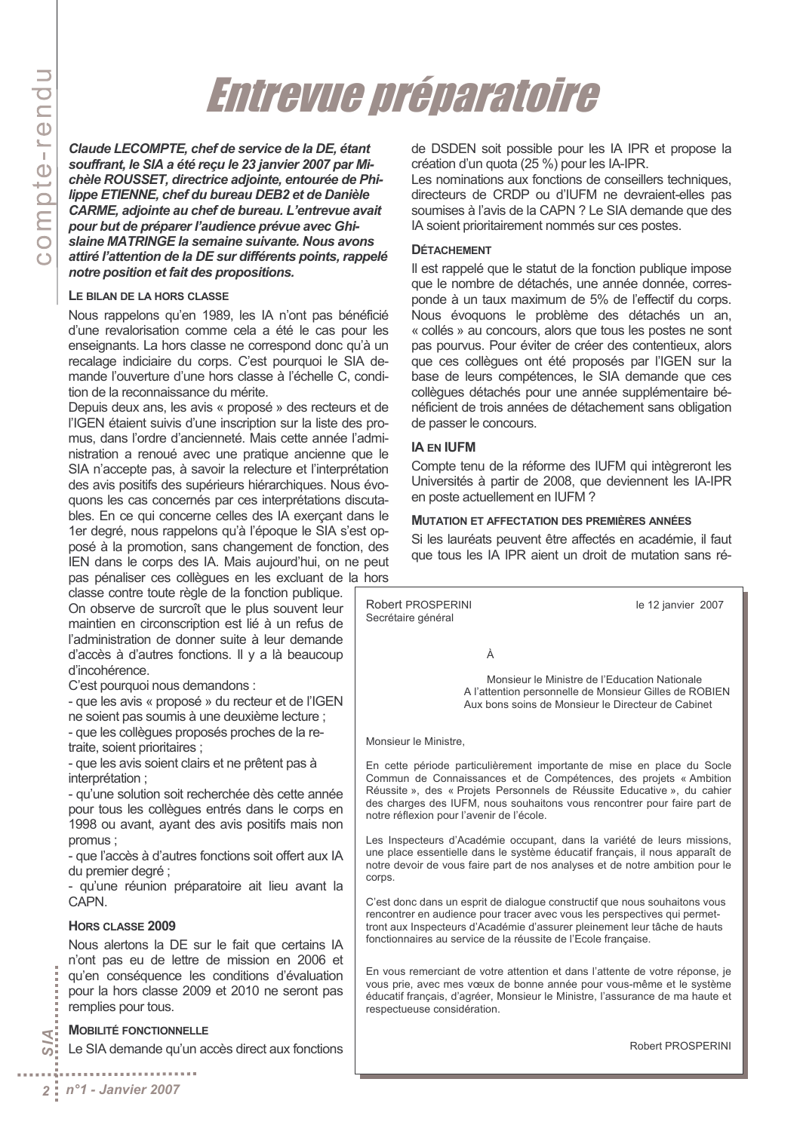## Entrevue préparatoire

Claude LECOMPTE, chef de service de la DE, étant souffrant, le SIA a été reçu le 23 janvier 2007 par Michèle ROUSSET, directrice adjointe, entourée de Philippe ETIENNE, chef du bureau DEB2 et de Danièle CARME, adjointe au chef de bureau. L'entrevue avait pour but de préparer l'audience prévue avec Ghislaine MATRINGE la semaine suivante. Nous avons attiré l'attention de la DE sur différents points, rappelé notre position et fait des propositions.

#### LE BILAN DE LA HORS CLASSE

Nous rappelons qu'en 1989, les IA n'ont pas bénéficié d'une revalorisation comme cela a été le cas pour les enseignants. La hors classe ne correspond donc qu'à un recalage indiciaire du corps. C'est pourquoi le SIA demande l'ouverture d'une hors classe à l'échelle C. condition de la reconnaissance du mérite.

Depuis deux ans, les avis « proposé » des recteurs et de l'IGEN étaient suivis d'une inscription sur la liste des promus, dans l'ordre d'ancienneté. Mais cette année l'administration a renoué avec une pratique ancienne que le SIA n'accepte pas, à savoir la relecture et l'interprétation des avis positifs des supérieurs hiérarchiques. Nous évoquons les cas concernés par ces interprétations discutables. En ce qui concerne celles des IA exerçant dans le 1er degré, nous rappelons qu'à l'époque le SIA s'est opposé à la promotion, sans changement de fonction, des IEN dans le corps des IA. Mais aujourd'hui, on ne peut pas pénaliser ces collègues en les excluant de la hors

classe contre toute règle de la fonction publique. On observe de surcroît que le plus souvent leur maintien en circonscription est lié à un refus de l'administration de donner suite à leur demande d'accès à d'autres fonctions. Il y a là beaucoup d'incohérence.

C'est pourquoi nous demandons :

- que les avis « proposé » du recteur et de l'IGEN ne soient pas soumis à une deuxième lecture ;

- que les collèques proposés proches de la retraite, soient prioritaires ;

- que les avis soient clairs et ne prêtent pas à interprétation ;

- qu'une solution soit recherchée dès cette année pour tous les collègues entrés dans le corps en 1998 ou avant, ayant des avis positifs mais non promus:

- que l'accès à d'autres fonctions soit offert aux IA du premier degré ;

- qu'une réunion préparatoire ait lieu avant la CAPN.

#### HORS CLASSE 2009

Nous alertons la DE sur le fait que certains IA n'ont pas eu de lettre de mission en 2006 et qu'en conséquence les conditions d'évaluation pour la hors classe 2009 et 2010 ne seront pas remplies pour tous.

#### **MOBILITÉ FONCTIONNELLE**

Le SIA demande qu'un accès direct aux fonctions

de DSDEN soit possible pour les IA IPR et propose la création d'un quota (25 %) pour les IA-IPR.

Les nominations aux fonctions de conseillers techniques, directeurs de CRDP ou d'IUFM ne devraient-elles pas soumises à l'avis de la CAPN ? Le SIA demande que des IA soient prioritairement nommés sur ces postes.

#### **DÉTACHEMENT**

Il est rappelé que le statut de la fonction publique impose que le nombre de détachés, une année donnée, corresponde à un taux maximum de 5% de l'effectif du corps. Nous évoquons le problème des détachés un an, « collés » au concours, alors que tous les postes ne sont pas pourvus. Pour éviter de créer des contentieux, alors que ces collèques ont été proposés par l'IGEN sur la base de leurs compétences. le SIA demande que ces collègues détachés pour une année supplémentaire bénéficient de trois années de détachement sans obligation de passer le concours.

#### **IA EN IUFM**

Compte tenu de la réforme des IUFM qui intègreront les Universités à partir de 2008, que deviennent les IA-IPR en poste actuellement en IUFM?

#### **MUTATION ET AFFECTATION DES PREMIÈRES ANNÉES**

Si les lauréats peuvent être affectés en académie, il faut que tous les IA IPR aient un droit de mutation sans ré-

Robert PROSPERINI le 12 janvier 2007 Secrétaire général À Monsieur le Ministre de l'Education Nationale A l'attention personnelle de Monsieur Gilles de ROBIEN Aux bons soins de Monsieur le Directeur de Cabinet Monsieur le Ministre. En cette période particulièrement importante de mise en place du Socle Commun de Connaissances et de Compétences, des projets « Ambition Réussite », des « Projets Personnels de Réussite Educative », du cahier des charges des IUFM, nous souhaitons vous rencontrer pour faire part de notre réflexion pour l'avenir de l'école. Les Inspecteurs d'Académie occupant, dans la variété de leurs missions, une place essentielle dans le système éducatif français, il nous apparaît de notre devoir de vous faire part de nos analyses et de notre ambition pour le corps. C'est donc dans un esprit de dialogue constructif que nous souhaitons vous rencontrer en audience pour tracer avec vous les perspectives qui permettront aux Inspecteurs d'Académie d'assurer pleinement leur tâche de hauts fonctionnaires au service de la réussite de l'Ecole française.

En vous remerciant de votre attention et dans l'attente de votre réponse, je vous prie, avec mes vœux de bonne année pour vous-même et le système éducatif français, d'agréer, Monsieur le Ministre, l'assurance de ma haute et respectueuse considération.

Robert PROSPERINI

J.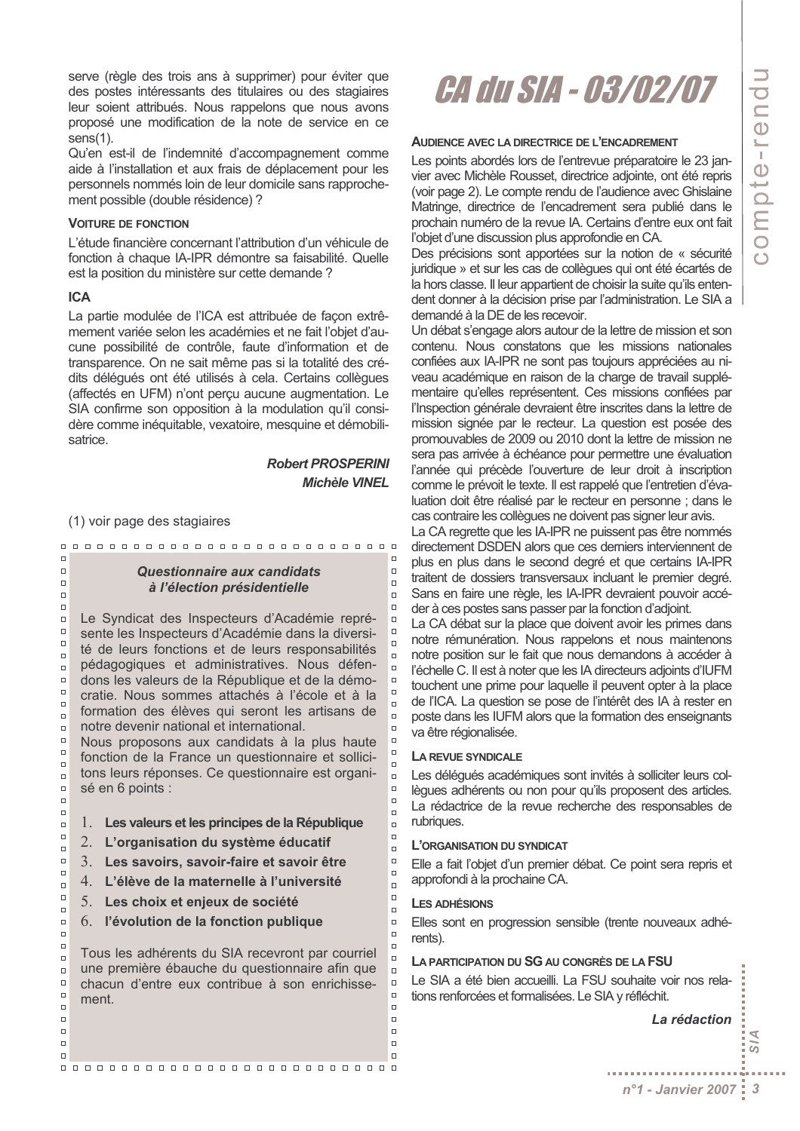serve (règle des trois ans à supprimer) pour éviter que des postes intéressants des titulaires ou des stagiaires leur soient attribués. Nous rappelons que nous avons proposé une modification de la note de service en ce  $sens(1)$ .

Qu'en est-il de l'indemnité d'accompagnement comme aide à l'installation et aux frais de déplacement pour les personnels nommés loin de leur domicile sans rapprochement possible (double résidence) ?

#### **VOITURE DE FONCTION**

L'étude financière concernant l'attribution d'un véhicule de fonction à chaque IA-IPR démontre sa faisabilité. Quelle est la position du ministère sur cette demande ?

#### **ICA**

 $\Box$ 

 $\Box$ 

 $\Box$ 

 $\Box$ 

 $\Box$ 

 $\Box$ 

 $\Box$ 

 $\Box$ 

 $\Box$ 

 $\Box$ 

 $\Box$ 

 $\Box$ 

 $\Box$ 

 $\Box$ 

 $\overline{a}$ 

 $\Box$ 

 $\Box$ 

 $\Box$ 

 $\Box$ 

 $\Box$ 

 $\Box$ 

 $\Box$ 

 $\Box$ 

 $\overline{a}$ 

 $\Box$ 

 $\Box$ 

 $\Box$ 

 $\Box$ 

 $\Box$ 

 $\Box$ 

 $\Box$ 

 $\Box$ 

 $\Box$ 

 $\Box$ 

 $\Box$ 

 $\Box$ 

 $\Box$ 

 $\Box$ 

 $\Box$ 

 $\Box$ 

La partie modulée de l'ICA est attribuée de façon extrêmement variée selon les académies et ne fait l'objet d'aucune possibilité de contrôle, faute d'information et de transparence. On ne sait même pas si la totalité des crédits délégués ont été utilisés à cela. Certains collègues (affectés en UFM) n'ont perçu aucune augmentation. Le SIA confirme son opposition à la modulation qu'il considère comme inéquitable, vexatoire, mesquine et démobilisatrice.

> **Robert PROSPERINI Michèle VINEL**

> > $\Box$

 $\Box$ 

 $\Box$ 

 $\Box$ 

 $\Box$ 

 $\Box$ 

 $\Box$ 

 $\overline{a}$ 

 $\Box$ 

 $\Box$ 

 $\Box$ 

 $\overline{a}$ 

 $\Box$ 

 $\Box$ 

 $\Box$ 

 $\Box$ 

 $\Box$ 

 $\Box$ 

 $\Box$ 

 $\Box$ 

 $\overline{a}$ 

 $\Box$ 

 $\Box$ 

 $\Box$ 

 $\Box$ 

 $\Box$ 

 $\Box$ 

 $\Box$ 

 $\Box$ 

 $\Box$ 

 $\Box$ 

 $\Box$ 

 $\Box$ 

 $\Box$ 

 $\Box$ 

 $\Box$ 

(1) voir page des stagiaires

 $\Box$ 

#### Questionnaire aux candidats à l'élection présidentielle

Le Syndicat des Inspecteurs d'Académie représente les Inspecteurs d'Académie dans la diversité de leurs fonctions et de leurs responsabilités pédagogiques et administratives. Nous défendons les valeurs de la République et de la démocratie. Nous sommes attachés à l'école et à la formation des élèves qui seront les artisans de notre devenir national et international.

Nous proposons aux candidats à la plus haute fonction de la France un questionnaire et sollicitons leurs réponses. Ce questionnaire est organisé en 6 points :

- 1. Les valeurs et les principes de la République
- L'organisation du système éducatif 2.
- $\mathcal{E}$ Les savoirs, savoir-faire et savoir être
- 4. L'élève de la maternelle à l'université
- 5. Les choix et enjeux de société
- 6. l'évolution de la fonction publique

Tous les adhérents du SIA recevront par courriel une première ébauche du questionnaire afin que chacun d'entre eux contribue à son enrichisse $ment$ 

## *CA du SIA - 03/02/07*

#### **AUDIENCE AVEC LA DIRECTRICE DE L'ENCADREMENT**

Les points abordés lors de l'entrevue préparatoire le 23 janvier avec Michèle Rousset, directrice adjointe, ont été repris (voir page 2). Le compte rendu de l'audience avec Ghislaine Matringe, directrice de l'encadrement sera publié dans le prochain numéro de la revue IA. Certains d'entre eux ont fait l'objet d'une discussion plus approfondie en CA.

Des précisions sont apportées sur la notion de « sécurité juridique » et sur les cas de collègues qui ont été écartés de la hors classe. Il leur appartient de choisir la suite qu'ils entendent donner à la décision prise par l'administration. Le SIA a demandé à la DE de les recevoir.

Un débat s'engage alors autour de la lettre de mission et son contenu. Nous constatons que les missions nationales confiées aux IA-IPR ne sont pas toujours appréciées au niveau académique en raison de la charge de travail supplémentaire qu'elles représentent. Ces missions confiées par l'Inspection générale devraient être inscrites dans la lettre de mission signée par le recteur. La question est posée des promouvables de 2009 ou 2010 dont la lettre de mission ne sera pas arrivée à échéance pour permettre une évaluation l'année qui précède l'ouverture de leur droit à inscription comme le prévoit le texte. Il est rappelé que l'entretien d'évaluation doit être réalisé par le recteur en personne; dans le cas contraire les collègues ne doivent pas signer leur avis.

La CA regrette que les IA-IPR ne puissent pas être nommés directement DSDEN alors que ces derniers interviennent de plus en plus dans le second degré et que certains IA-IPR traitent de dossiers transversaux incluant le premier degré. Sans en faire une règle, les IA-IPR devraient pouvoir accéder à ces postes sans passer par la fonction d'adjoint.

La CA débat sur la place que doivent avoir les primes dans notre rémunération. Nous rappelons et nous maintenons notre position sur le fait que nous demandons à accéder à l'échelle C. Il est à noter que les IA directeurs adioints d'IUFM touchent une prime pour laquelle il peuvent opter à la place de l'ICA. La question se pose de l'intérêt des IA à rester en poste dans les IUFM alors que la formation des enseignants va être régionalisée.

#### LA REVUE SYNDICALE

Les déléqués académiques sont invités à solliciter leurs collègues adhérents ou non pour qu'ils proposent des articles. La rédactrice de la revue recherche des responsables de rubriques.

#### L'ORGANISATION DU SYNDICAT

Elle a fait l'objet d'un premier débat. Ce point sera repris et approfondi à la prochaine CA.

#### **LES ADHÉSIONS**

Elles sont en progression sensible (trente nouveaux adhérents).

#### LA PARTICIPATION DU SG AU CONGRÈS DE LA FSU

Le SIA a été bien accueilli. La FSU souhaite voir nos relations renforcées et formalisées. Le SIA y réfléchit.

La rédaction

Ā

ವ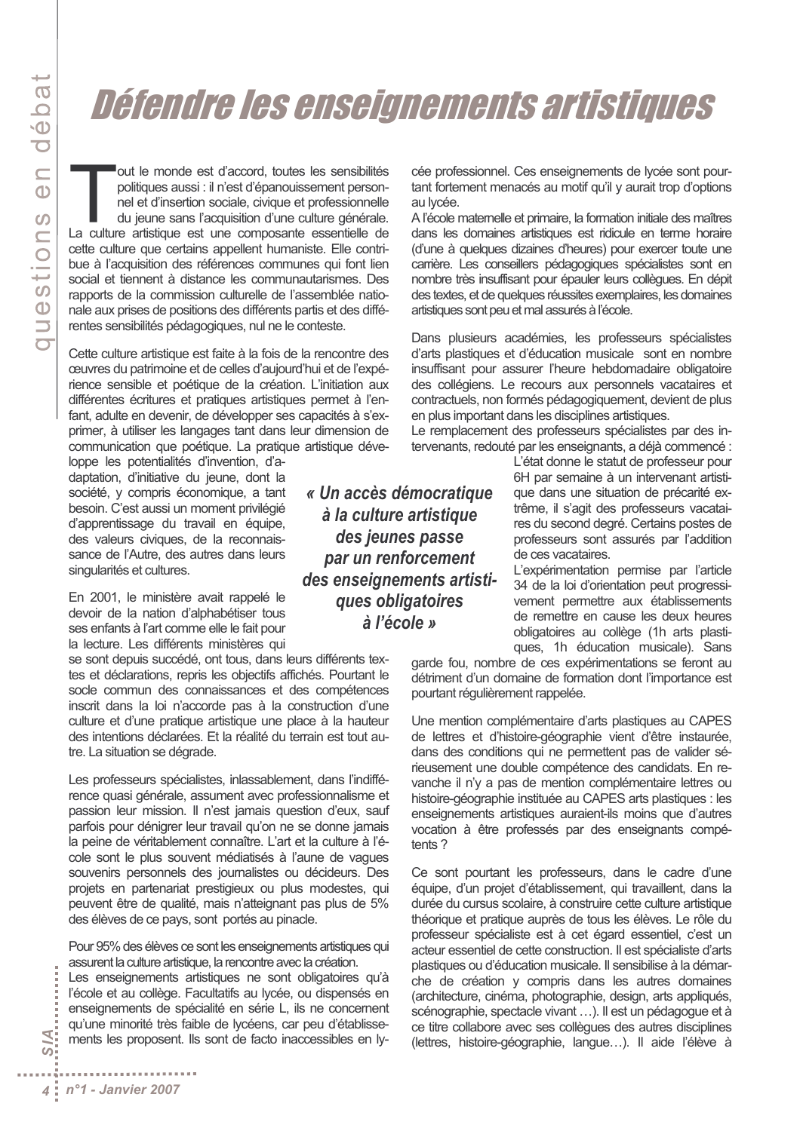## Défendre les enseignements artistiques

out le monde est d'accord, toutes les sensibilités politiques aussi : il n'est d'épanouissement personnel et d'insertion sociale, civique et professionnelle du jeune sans l'acquisition d'une culture générale. La culture artistique est une composante essentielle de cette culture que certains appellent humaniste. Elle contribue à l'acquisition des références communes qui font lien social et tiennent à distance les communautarismes. Des rapports de la commission culturelle de l'assemblée nationale aux prises de positions des différents partis et des différentes sensibilités pédagogiques, nul ne le conteste.

Cette culture artistique est faite à la fois de la rencontre des ceuvres du patrimoine et de celles d'aujourd'hui et de l'expérience sensible et poétique de la création. L'initiation aux différentes écritures et pratiques artistiques permet à l'enfant, adulte en devenir, de développer ses capacités à s'exprimer, à utiliser les langages tant dans leur dimension de communication que poétique. La pratique artistique déve-

loppe les potentialités d'invention, d'adaptation, d'initiative du jeune, dont la société, y compris économique, a tant besoin. C'est aussi un moment privilégié d'apprentissage du travail en équipe. des valeurs civiques, de la reconnaissance de l'Autre, des autres dans leurs singularités et cultures.

En 2001, le ministère avait rappelé le devoir de la nation d'alphabétiser tous ses enfants à l'art comme elle le fait pour la lecture. Les différents ministères qui

se sont depuis succédé, ont tous, dans leurs différents textes et déclarations, repris les objectifs affichés. Pourtant le socle commun des connaissances et des compétences inscrit dans la loi n'accorde pas à la construction d'une culture et d'une pratique artistique une place à la hauteur des intentions déclarées. Et la réalité du terrain est tout autre. La situation se dégrade.

Les professeurs spécialistes, inlassablement, dans l'indifférence quasi générale, assument avec professionnalisme et passion leur mission. Il n'est jamais question d'eux, sauf parfois pour dénigrer leur travail qu'on ne se donne jamais la peine de véritablement connaître. L'art et la culture à l'école sont le plus souvent médiatisés à l'aune de vagues souvenirs personnels des journalistes ou décideurs. Des projets en partenariat prestigieux ou plus modestes, qui peuvent être de qualité, mais n'atteignant pas plus de 5% des élèves de ce pays, sont portés au pinacle.

Pour 95% des élèves ce sont les enseignements artistiques qui assurent la culture artistique, la rencontre avec la création.

Les enseignements artistiques ne sont obligatoires qu'à l'école et au collège. Facultatifs au Iycée, ou dispensés en enseignements de spécialité en série L, ils ne concernent qu'une minorité très faible de lycéens, car peu d'établissements les proposent. Ils sont de facto inaccessibles en ly-

« Un accès démocratique à la culture artistique des jeunes passe par un renforcement des enseignements artistiques obligatoires à l'école »

cée professionnel. Ces enseignements de lycée sont pourtant fortement menacés au motif qu'il y aurait trop d'options au lycée.

A l'école matemelle et primaire, la formation initiale des maîtres dans les domaines artistiques est ridicule en terme horaire (d'une à quelques dizaines d'heures) pour exercer toute une carrière. Les conseillers pédagogiques spécialistes sont en nombre très insuffisant pour épauler leurs collègues. En dépit des textes, et de quelques réussites exemplaires, les domaines artistiques sont peu et mal assurés à l'école.

Dans plusieurs académies, les professeurs spécialistes d'arts plastiques et d'éducation musicale sont en nombre insuffisant pour assurer l'heure hebdomadaire obligatoire des collégiens. Le recours aux personnels vacataires et contractuels, non formés pédagogiquement, devient de plus en plus important dans les disciplines artistiques.

Le remplacement des professeurs spécialistes par des intervenants, redouté par les enseignants, a déjà commencé :

> L'état donne le statut de professeur pour 6H par semaine à un intervenant artistique dans une situation de précarité extrême, il s'agit des professeurs vacataires du second degré. Certains postes de professeurs sont assurés par l'addition de ces vacataires.

> L'expérimentation permise par l'article 34 de la loi d'orientation peut progressivement permettre aux établissements de remettre en cause les deux heures obligatoires au collège (1h arts plastiques, 1h éducation musicale). Sans

garde fou, nombre de ces expérimentations se feront au détriment d'un domaine de formation dont l'importance est pourtant réqulièrement rappelée.

Une mention complémentaire d'arts plastiques au CAPES de lettres et d'histoire-géographie vient d'être instaurée, dans des conditions qui ne permettent pas de valider sérieusement une double compétence des candidats. En revanche il n'y a pas de mention complémentaire lettres ou histoire-géographie instituée au CAPES arts plastiques : les enseignements artistiques auraient-ils moins que d'autres vocation à être professés par des enseignants compétents?

Ce sont pourtant les professeurs, dans le cadre d'une équipe, d'un projet d'établissement, qui travaillent, dans la durée du cursus scolaire, à construire cette culture artistique théorique et pratique auprès de tous les élèves. Le rôle du professeur spécialiste est à cet égard essentiel, c'est un acteur essentiel de cette construction. Il est spécialiste d'arts plastiques ou d'éducation musicale. Il sensibilise à la démarche de création y compris dans les autres domaines (architecture, cinéma, photographie, design, arts appliqués, scénographie, spectacle vivant ...). Il est un pédagogue et à ce titre collabore avec ses collègues des autres disciplines (lettres, histoire-géographie, langue...). Il aide l'élève à

 $\overline{\omega}$ :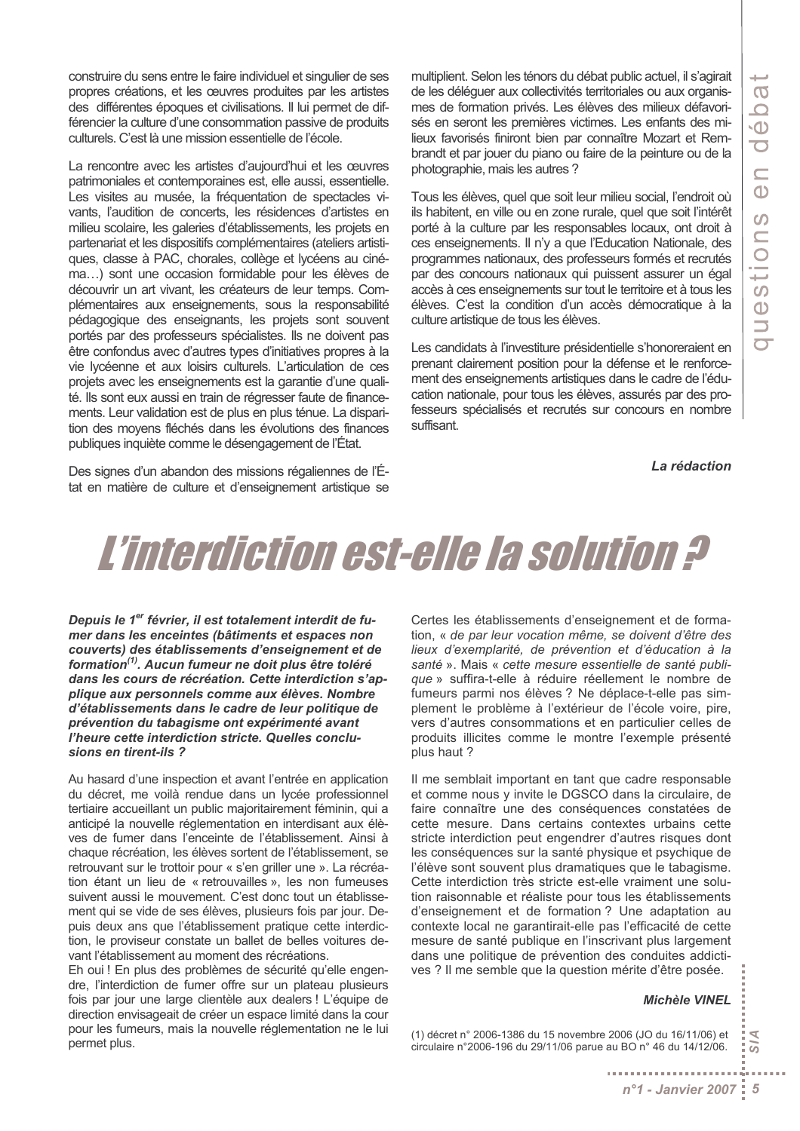construire du sens entre le faire individuel et singulier de ses propres créations, et les œuvres produites par les artistes des différentes époques et civilisations. Il lui permet de différencier la culture d'une consommation passive de produits culturels. C'est là une mission essentielle de l'école.

La rencontre avec les artistes d'aujourd'hui et les œuvres patrimoniales et contemporaines est, elle aussi, essentielle. Les visites au musée, la fréquentation de spectacles vivants, l'audition de concerts, les résidences d'artistes en milieu scolaire, les galeries d'établissements, les projets en partenariat et les dispositifs complémentaires (ateliers artistiques, classe à PAC, chorales, collège et lycéens au cinéma...) sont une occasion formidable pour les élèves de découvrir un art vivant, les créateurs de leur temps. Complémentaires aux enseignements, sous la responsabilité pédagogique des enseignants, les projets sont souvent portés par des professeurs spécialistes. Ils ne doivent pas être confondus avec d'autres types d'initiatives propres à la vie lycéenne et aux loisirs culturels. L'articulation de ces projets avec les enseignements est la garantie d'une qualité. Ils sont eux aussi en train de régresser faute de financements. Leur validation est de plus en plus ténue. La disparition des moyens fléchés dans les évolutions des finances publiques inquiète comme le désengagement de l'État.

Des signes d'un abandon des missions régaliennes de l'État en matière de culture et d'enseignement artistique se multiplient. Selon les ténors du débat public actuel, il s'agirait de les déléguer aux collectivités territoriales ou aux organismes de formation privés. Les élèves des milieux défavorisés en seront les premières victimes. Les enfants des milieux favorisés finiront bien par connaître Mozart et Rembrandt et par jouer du piano ou faire de la peinture ou de la photographie, mais les autres ?

Tous les élèves, quel que soit leur milieu social, l'endroit où ils habitent, en ville ou en zone rurale, quel que soit l'intérêt porté à la culture par les responsables locaux, ont droit à ces enseignements. Il n'y a que l'Education Nationale, des programmes nationaux, des professeurs formés et recrutés par des concours nationaux qui puissent assurer un égal accès à ces enseignements sur tout le territoire et à tous les élèves. C'est la condition d'un accès démocratique à la culture artistique de tous les élèves.

Les candidats à l'investiture présidentielle s'honoreraient en prenant clairement position pour la défense et le renforcement des enseignements artistiques dans le cadre de l'éducation nationale, pour tous les élèves, assurés par des professeurs spécialisés et recrutés sur concours en nombre suffisant.

La rédaction

## L'interdiction est-elle la solution ?

Depuis le 1<sup>er</sup> février, il est totalement interdit de fumer dans les enceintes (bâtiments et espaces non couverts) des établissements d'enseignement et de formation<sup>(1)</sup>. Aucun fumeur ne doit plus être toléré dans les cours de récréation. Cette interdiction s'applique aux personnels comme aux élèves. Nombre d'établissements dans le cadre de leur politique de prévention du tabagisme ont expérimenté avant l'heure cette interdiction stricte. Quelles conclusions en tirent-ils ?

Au hasard d'une inspection et avant l'entrée en application du décret, me voilà rendue dans un lycée professionnel tertiaire accueillant un public majoritairement féminin, qui a anticipé la nouvelle réglementation en interdisant aux élèves de fumer dans l'enceinte de l'établissement. Ainsi à chaque récréation, les élèves sortent de l'établissement, se retrouvant sur le trottoir pour « s'en griller une ». La récréation étant un lieu de « retrouvailles ». les non fumeuses suivent aussi le mouvement. C'est donc tout un établissement qui se vide de ses élèves, plusieurs fois par jour. Depuis deux ans que l'établissement pratique cette interdiction, le proviseur constate un ballet de belles voitures devant l'établissement au moment des récréations.

Eh oui ! En plus des problèmes de sécurité qu'elle engendre, l'interdiction de fumer offre sur un plateau plusieurs fois par jour une large clientèle aux dealers ! L'équipe de direction envisageait de créer un espace limité dans la cour pour les fumeurs, mais la nouvelle réglementation ne le lui permet plus.

Certes les établissements d'enseignement et de formation, « de par leur vocation même, se doivent d'être des lieux d'exemplarité, de prévention et d'éducation à la santé ». Mais « cette mesure essentielle de santé publique » suffira-t-elle à réduire réellement le nombre de fumeurs parmi nos élèves ? Ne déplace-t-elle pas simplement le problème à l'extérieur de l'école voire, pire, vers d'autres consommations et en particulier celles de produits illicites comme le montre l'exemple présenté plus haut ?

Il me semblait important en tant que cadre responsable et comme nous y invite le DGSCO dans la circulaire, de faire connaître une des conséquences constatées de cette mesure. Dans certains contextes urbains cette stricte interdiction peut engendrer d'autres risques dont les conséquences sur la santé physique et psychique de l'élève sont souvent plus dramatiques que le tabagisme. Cette interdiction très stricte est-elle vraiment une solution raisonnable et réaliste pour tous les établissements d'enseignement et de formation ? Une adaptation au contexte local ne garantirait-elle pas l'efficacité de cette mesure de santé publique en l'inscrivant plus largement dans une politique de prévention des conduites addictives ? Il me semble que la question mérite d'être posée.

#### **Michèle VINEL**

Ā

ā

(1) décret n° 2006-1386 du 15 novembre 2006 (JO du 16/11/06) et circulaire n°2006-196 du 29/11/06 parue au BO n° 46 du 14/12/06.

. . . . . . . . . . . . . . . . . . .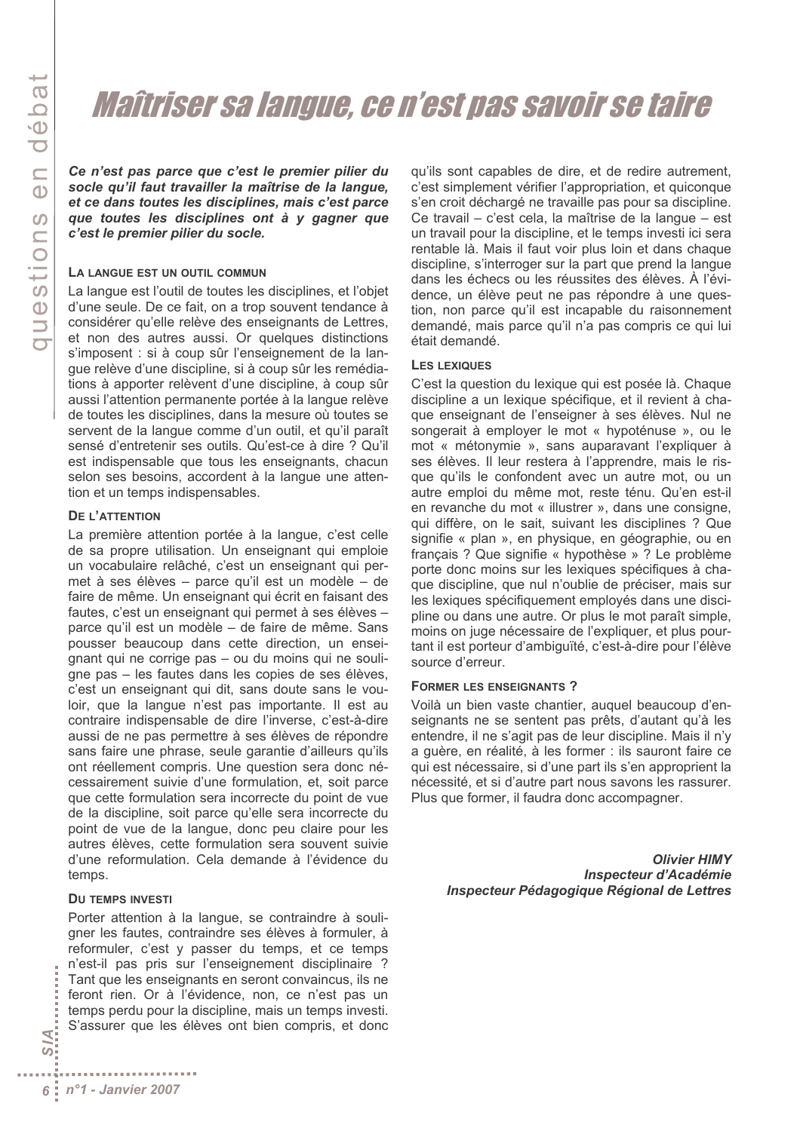### Maîtriser sa langue, ce n'est pas savoir se taire

Ce n'est pas parce que c'est le premier pilier du socle qu'il faut travailler la maîtrise de la lanque. et ce dans toutes les disciplines, mais c'est parce que toutes les disciplines ont à y gagner que c'est le premier pilier du socle.

#### LA LANGUE EST UN OUTIL COMMUN

La langue est l'outil de toutes les disciplines, et l'objet d'une seule. De ce fait, on a trop souvent tendance à considérer qu'elle relève des enseignants de Lettres, et non des autres aussi. Or quelques distinctions s'imposent : si à coup sûr l'enseignement de la lanque relève d'une discipline, si à coup sûr les remédiations à apporter relèvent d'une discipline, à coup sûr aussi l'attention permanente portée à la langue relève de toutes les disciplines, dans la mesure où toutes se servent de la langue comme d'un outil, et qu'il paraît sensé d'entretenir ses outils. Qu'est-ce à dire ? Qu'il est indispensable que tous les enseignants, chacun selon ses besoins, accordent à la langue une attention et un temps indispensables.

#### **DE L'ATTENTION**

La première attention portée à la langue, c'est celle de sa propre utilisation. Un enseignant qui emploie un vocabulaire relâché, c'est un enseignant qui permet à ses élèves - parce qu'il est un modèle - de faire de même. Un enseignant qui écrit en faisant des fautes, c'est un enseignant qui permet à ses élèves parce qu'il est un modèle – de faire de même. Sans pousser beaucoup dans cette direction, un enseignant qui ne corrige pas – ou du moins qui ne souliqne pas - les fautes dans les copies de ses élèves. c'est un enseignant qui dit, sans doute sans le vouloir, que la langue n'est pas importante. Il est au contraire indispensable de dire l'inverse, c'est-à-dire aussi de ne pas permettre à ses élèves de répondre sans faire une phrase, seule garantie d'ailleurs qu'ils ont réellement compris. Une question sera donc nécessairement suivie d'une formulation, et, soit parce que cette formulation sera incorrecte du point de vue de la discipline, soit parce qu'elle sera incorrecte du point de vue de la langue, donc peu claire pour les autres élèves, cette formulation sera souvent suivie d'une reformulation. Cela demande à l'évidence du temps.

#### **DU TEMPS INVESTI**

Porter attention à la langue, se contraindre à souligner les fautes, contraindre ses élèves à formuler, à reformuler, c'est y passer du temps, et ce temps n'est-il pas pris sur l'enseignement disciplinaire ? Tant que les enseignants en seront convaincus, ils ne feront rien. Or à l'évidence, non, ce n'est pas un temps perdu pour la discipline, mais un temps investi. S'assurer que les élèves ont bien compris, et donc

qu'ils sont capables de dire, et de redire autrement, c'est simplement vérifier l'appropriation, et quiconque s'en croit déchargé ne travaille pas pour sa discipline. Ce travail – c'est cela, la maîtrise de la langue – est un travail pour la discipline, et le temps investi ici sera rentable là. Mais il faut voir plus loin et dans chaque discipline, s'interroger sur la part que prend la langue dans les échecs ou les réussites des élèves. À l'évidence, un élève peut ne pas répondre à une question, non parce qu'il est incapable du raisonnement demandé, mais parce qu'il n'a pas compris ce qui lui était demandé.

#### **LES LEXIQUES**

C'est la question du lexique qui est posée là. Chaque discipline a un lexique spécifique, et il revient à chaque enseignant de l'enseigner à ses élèves. Nul ne songerait à employer le mot « hypoténuse », ou le mot « métonymie », sans auparavant l'expliquer à ses élèves. Il leur restera à l'apprendre, mais le risque qu'ils le confondent avec un autre mot, ou un autre emploi du même mot, reste ténu. Qu'en est-il en revanche du mot « illustrer », dans une consigne, qui diffère, on le sait, suivant les disciplines ? Que signifie « plan », en physique, en géographie, ou en français ? Que signifie « hypothèse » ? Le problème porte donc moins sur les lexiques spécifiques à chaque discipline, que nul n'oublie de préciser, mais sur les lexiques spécifiquement employés dans une discipline ou dans une autre. Or plus le mot paraît simple, moins on juge nécessaire de l'expliquer, et plus pourtant il est porteur d'ambiquïté, c'est-à-dire pour l'élève source d'erreur.

#### **FORMER LES ENSEIGNANTS?**

Voilà un bien vaste chantier, auquel beaucoup d'enseignants ne se sentent pas prêts, d'autant qu'à les entendre, il ne s'agit pas de leur discipline. Mais il n'y a guère, en réalité, à les former : ils sauront faire ce qui est nécessaire, si d'une part ils s'en approprient la nécessité, et si d'autre part nous savons les rassurer. Plus que former, il faudra donc accompagner.

> **Olivier HIMY Inspecteur d'Académie** Inspecteur Pédagogique Régional de Lettres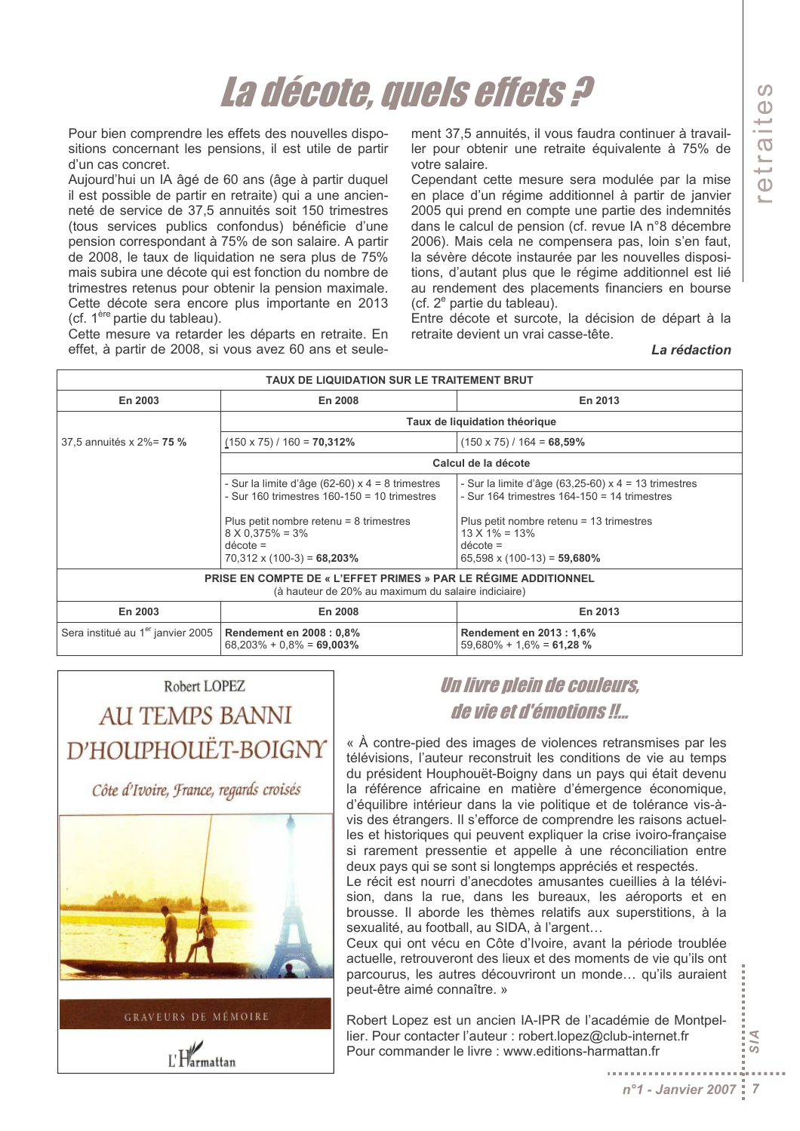## La décote, quels effets ?

Pour bien comprendre les effets des nouvelles dispositions concernant les pensions, il est utile de partir d'un cas concret.

Aujourd'hui un IA âgé de 60 ans (âge à partir duquel il est possible de partir en retraite) qui a une ancienneté de service de 37,5 annuités soit 150 trimestres (tous services publics confondus) bénéficie d'une pension correspondant à 75% de son salaire. A partir de 2008, le taux de liquidation ne sera plus de 75% mais subira une décote qui est fonction du nombre de trimestres retenus pour obtenir la pension maximale. Cette décote sera encore plus importante en 2013 (cf. 1<sup>ère</sup> partie du tableau).

Cette mesure va retarder les départs en retraite. En effet, à partir de 2008, si vous avez 60 ans et seulement 37,5 annuités, il vous faudra continuer à travailler pour obtenir une retraite équivalente à 75% de votre salaire.

Cependant cette mesure sera modulée par la mise en place d'un régime additionnel à partir de janvier 2005 qui prend en compte une partie des indemnités dans le calcul de pension (cf. revue IA n°8 décembre 2006). Mais cela ne compensera pas, loin s'en faut, la sévère décote instaurée par les nouvelles dispositions, d'autant plus que le régime additionnel est lié au rendement des placements financiers en bourse (cf. 2<sup>e</sup> partie du tableau).

Entre décote et surcote, la décision de départ à la retraite devient un vrai casse-tête.

La rédaction

| TAUX DE LIQUIDATION SUR LE TRAITEMENT BRUT                                                                                    |                                                                                                                           |                                                                                                                                      |  |  |  |
|-------------------------------------------------------------------------------------------------------------------------------|---------------------------------------------------------------------------------------------------------------------------|--------------------------------------------------------------------------------------------------------------------------------------|--|--|--|
| En 2003                                                                                                                       | En 2008                                                                                                                   | En 2013                                                                                                                              |  |  |  |
|                                                                                                                               | Taux de liquidation théorique                                                                                             |                                                                                                                                      |  |  |  |
| 37,5 annuités x 2%= 75 %                                                                                                      | $(150 \times 75) / 160 = 70,312\%$                                                                                        | $(150 \times 75)$ / 164 = 68,59%                                                                                                     |  |  |  |
|                                                                                                                               | Calcul de la décote                                                                                                       |                                                                                                                                      |  |  |  |
|                                                                                                                               | - Sur la limite d'âge (62-60) x 4 = 8 trimestres<br>- Sur 160 trimestres $160-150 = 10$ trimestres                        | - Sur la limite d'âge (63,25-60) $x$ 4 = 13 trimestres<br>- Sur 164 trimestres $164-150 = 14$ trimestres                             |  |  |  |
|                                                                                                                               | Plus petit nombre retenu = $8$ trimestres<br>$8 \times 0.375\% = 3\%$<br>$décote =$<br>$70,312 \times (100-3) = 68,203\%$ | Plus petit nombre retenu = $13$ trimestres<br>$13 \times 1\% = 13\%$<br>$d\acute{e} \cot e =$<br>$65,598 \times (100-13) = 59,680\%$ |  |  |  |
| <b>PRISE EN COMPTE DE « L'EFFET PRIMES » PAR LE RÉGIME ADDITIONNEL</b><br>(à hauteur de 20% au maximum du salaire indiciaire) |                                                                                                                           |                                                                                                                                      |  |  |  |
| En 2003                                                                                                                       | En 2008                                                                                                                   | En 2013                                                                                                                              |  |  |  |
| Sera institué au 1 <sup>er</sup> janvier 2005                                                                                 | <b>Rendement en 2008 : 0,8%</b><br>$68,203\% + 0.8\% = 69,003\%$                                                          | Rendement en 2013 : 1,6%<br>$59,680\% + 1,6\% = 61,28\%$                                                                             |  |  |  |

### Robert LOPEZ **AU TEMPS BANNI** D'HOUPHOUËT-BOIGNY

Côte d'Ivoire, France, regards croisés



**GRAVEURS DE MÉMOIRE** 

 $L$  Harmattan

Un livre plein de couleurs. de vie et d'émotions !!...

« À contre-pied des images de violences retransmises par les télévisions. l'auteur reconstruit les conditions de vie au temps du président Houphouët-Boigny dans un pays qui était devenu la référence africaine en matière d'émergence économique, d'équilibre intérieur dans la vie politique et de tolérance vis-àvis des étrangers. Il s'efforce de comprendre les raisons actuelles et historiques qui peuvent expliquer la crise ivoiro-française si rarement pressentie et appelle à une réconciliation entre deux pays qui se sont si longtemps appréciés et respectés.

Le récit est nourri d'anecdotes amusantes cueillies à la télévision, dans la rue, dans les bureaux, les aéroports et en brousse. Il aborde les thèmes relatifs aux superstitions, à la sexualité, au football, au SIDA, à l'argent...

Ceux qui ont vécu en Côte d'Ivoire, avant la période troublée actuelle, retrouveront des lieux et des moments de vie qu'ils ont parcourus, les autres découvriront un monde... qu'ils auraient peut-être aimé connaître. »

Robert Lopez est un ancien IA-IPR de l'académie de Montpellier. Pour contacter l'auteur : robert.lopez@club-internet.fr Pour commander le livre : www.editions-harmattan.fr

 $R/2$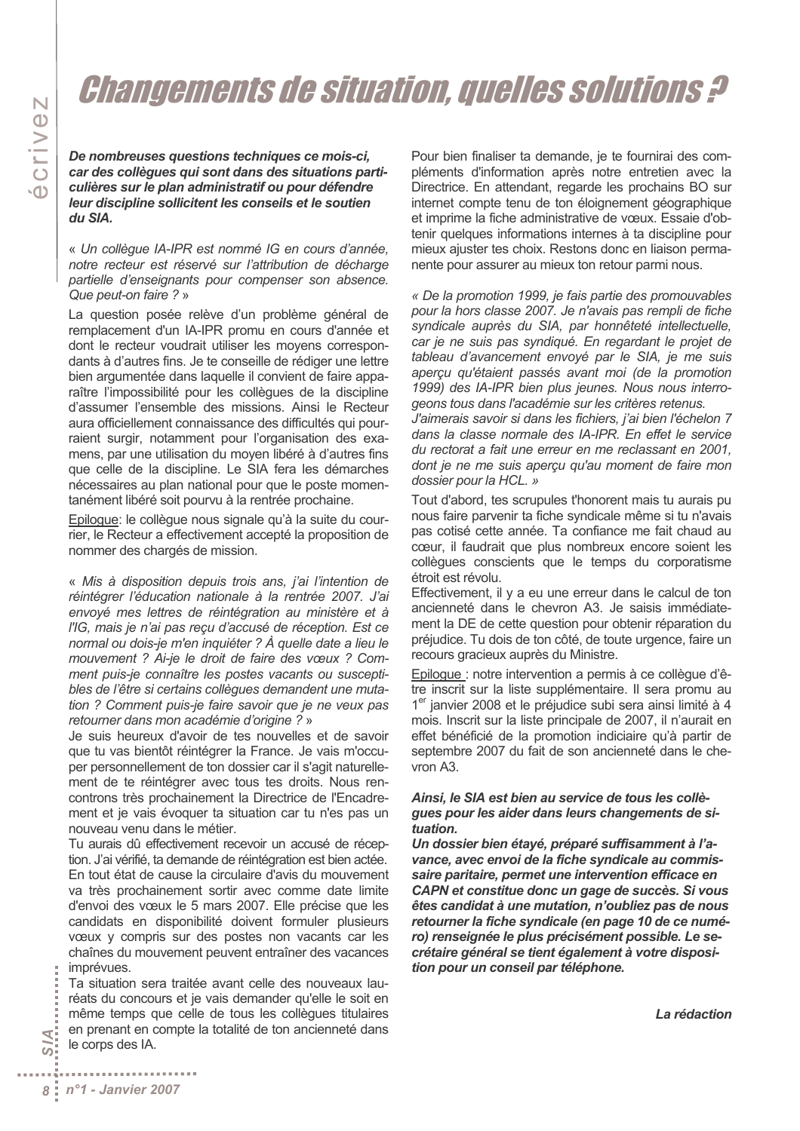### **Changements de situation, quelles solutions ?**

De nombreuses questions techniques ce mois-ci, car des collèques qui sont dans des situations particulières sur le plan administratif ou pour défendre leur discipline sollicitent les conseils et le soutien du SIA.

« Un collèque IA-IPR est nommé IG en cours d'année. notre recteur est réservé sur l'attribution de décharge partielle d'enseignants pour compenser son absence. Que peut-on faire ? »

La question posée relève d'un problème général de remplacement d'un IA-IPR promu en cours d'année et dont le recteur voudrait utiliser les moyens correspondants à d'autres fins. Je te conseille de rédiger une lettre bien argumentée dans laquelle il convient de faire apparaître l'impossibilité pour les collèques de la discipline d'assumer l'ensemble des missions. Ainsi le Recteur aura officiellement connaissance des difficultés qui pourraient surgir, notamment pour l'organisation des examens, par une utilisation du moyen libéré à d'autres fins que celle de la discipline. Le SIA fera les démarches nécessaires au plan national pour que le poste momentanément libéré soit pourvu à la rentrée prochaine.

Epilogue: le collègue nous signale qu'à la suite du courrier, le Recteur a effectivement accepté la proposition de nommer des chargés de mission.

« Mis à disposition depuis trois ans, j'ai l'intention de réintégrer l'éducation nationale à la rentrée 2007. J'ai envoyé mes lettres de réintégration au ministère et à l'IG, mais je n'ai pas recu d'accusé de réception. Est ce normal ou dois-je m'en inquiéter ? À quelle date a lieu le mouvement ? Ai-je le droit de faire des vœux ? Comment puis-je connaître les postes vacants ou susceptibles de l'être si certains collèques demandent une mutation ? Comment puis-je faire savoir que je ne veux pas retourner dans mon académie d'origine ? »

Je suis heureux d'avoir de tes nouvelles et de savoir que tu vas bientôt réintégrer la France. Je vais m'occuper personnellement de ton dossier car il s'agit naturellement de te réintégrer avec tous tes droits. Nous rencontrons très prochainement la Directrice de l'Encadrement et je vais évoquer ta situation car tu n'es pas un nouveau venu dans le métier.

Tu aurais dû effectivement recevoir un accusé de réception. J'ai vérifié, ta demande de réintégration est bien actée. En tout état de cause la circulaire d'avis du mouvement va très prochainement sortir avec comme date limite d'envoi des vœux le 5 mars 2007. Elle précise que les candidats en disponibilité doivent formuler plusieurs vœux y compris sur des postes non vacants car les chaînes du mouvement peuvent entraîner des vacances imprévues.

Ta situation sera traitée avant celle des nouveaux lauréats du concours et je vais demander qu'elle le soit en même temps que celle de tous les collègues titulaires en prenant en compte la totalité de ton ancienneté dans le corps des IA.

Pour bien finaliser ta demande, je te fournirai des compléments d'information après notre entretien avec la Directrice. En attendant, regarde les prochains BO sur internet compte tenu de ton éloignement géographique et imprime la fiche administrative de vœux. Essaie d'obtenir quelques informations internes à ta discipline pour mieux ajuster tes choix. Restons donc en liaison permanente pour assurer au mieux ton retour parmi nous.

« De la promotion 1999, je fais partie des promouvables pour la hors classe 2007. Je n'avais pas rempli de fiche syndicale auprès du SIA, par honnêteté intellectuelle, car je ne suis pas syndiqué. En regardant le projet de tableau d'avancement envoyé par le SIA, je me suis aperçu qu'étaient passés avant moi (de la promotion 1999) des IA-IPR bien plus jeunes. Nous nous interrogeons tous dans l'académie sur les critères retenus.

J'aimerais savoir si dans les fichiers, j'ai bien l'échelon 7 dans la classe normale des IA-IPR. En effet le service du rectorat a fait une erreur en me reclassant en 2001. dont je ne me suis aperçu qu'au moment de faire mon dossier pour la HCL. »

Tout d'abord, tes scrupules t'honorent mais tu aurais pu nous faire parvenir ta fiche syndicale même si tu n'avais pas cotisé cette année. Ta confiance me fait chaud au cœur, il faudrait que plus nombreux encore soient les collègues conscients que le temps du corporatisme étroit est révolu.

Effectivement, il y a eu une erreur dans le calcul de ton ancienneté dans le chevron A3. Je saisis immédiatement la DE de cette question pour obtenir réparation du préjudice. Tu dois de ton côté, de toute urgence, faire un recours gracieux auprès du Ministre.

Epiloque : notre intervention a permis à ce collèque d'être inscrit sur la liste supplémentaire. Il sera promu au 1<sup>er</sup> janvier 2008 et le préjudice subi sera ainsi limité à 4 mois. Inscrit sur la liste principale de 2007, il n'aurait en effet bénéficié de la promotion indiciaire qu'à partir de septembre 2007 du fait de son ancienneté dans le chevron A3.

#### Ainsi, le SIA est bien au service de tous les collègues pour les aider dans leurs changements de situation.

Un dossier bien étayé, préparé suffisamment à l'avance, avec envoi de la fiche syndicale au commissaire paritaire, permet une intervention efficace en CAPN et constitue donc un gage de succès. Si vous êtes candidat à une mutation, n'oubliez pas de nous retourner la fiche syndicale (en page 10 de ce numéro) renseignée le plus précisément possible. Le secrétaire général se tient également à votre disposition pour un conseil par téléphone.

La rédaction

₹: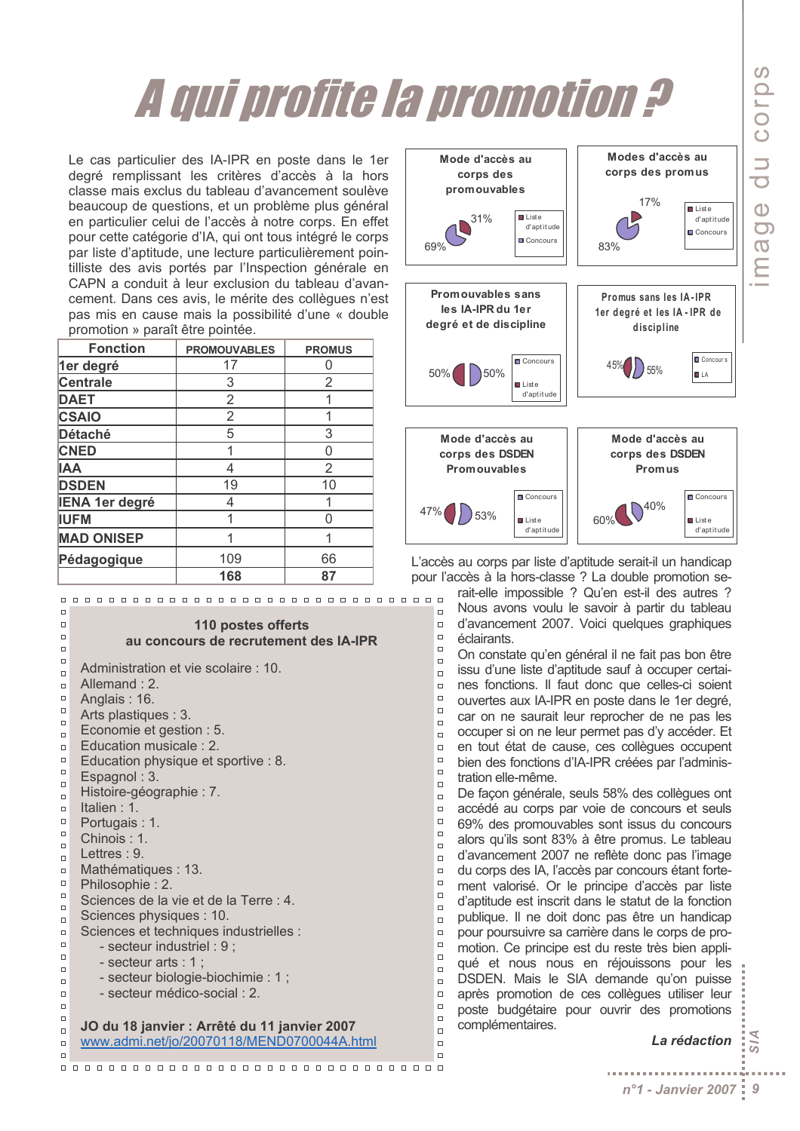# A qui profite la promotion ?

Le cas particulier des IA-IPR en poste dans le 1er degré remplissant les critères d'accès à la hors classe mais exclus du tableau d'avancement soulève beaucoup de questions, et un problème plus général en particulier celui de l'accès à notre corps. En effet pour cette catégorie d'IA, qui ont tous intégré le corps par liste d'aptitude, une lecture particulièrement pointilliste des avis portés par l'Inspection générale en CAPN a conduit à leur exclusion du tableau d'avancement. Dans ces avis, le mérite des collègues n'est pas mis en cause mais la possibilité d'une « double promotion » paraît être pointée.

| <b>Fonction</b>       | <b>PROMOUVABLES</b> | <b>PROMUS</b> |
|-----------------------|---------------------|---------------|
| 1er degré             | 17                  |               |
| <b>Centrale</b>       | 3                   | 2             |
| <b>DAET</b>           | 2                   |               |
| <b>CSAIO</b>          | 2                   |               |
| Détaché               | 5                   | 3             |
| <b>CNED</b>           | 1                   | 0             |
| <b>IAA</b>            | 4                   | 2             |
| <b>DSDEN</b>          | 19                  | 10            |
| <b>IENA 1er degré</b> | 4                   |               |
| <b>IUFM</b>           | 1                   |               |
| <b>MAD ONISEP</b>     |                     |               |
| Pédagogique           | 109                 | 66            |
|                       | 168                 | 87            |

 $\Box$ 

 $\Box$ 

 $\Box$ 

 $\Box$ 

 $\Box$ 

 $\Box$ 

 $\Box$ 

 $\Box$ 

 $\Box$ 

 $\Box$ 

 $\Box$ 

 $\overline{a}$ 

 $\Box$ 

 $\Box$ 

 $\Box$ 

 $\Box$ 

 $\Box$ 

 $\Box$ 

 $\Box$ 

 $\overline{a}$ 

 $\Box$ 

 $\Box$ 

 $\Box$ 

 $\Box$ 

 $\Box$ 

 $\Box$ 

 $\Box$  $\Box$ 

 $\Box$ 

 $\Box$ 

 $\Box$ 

 $\Box$ 

 $\Box$ 

 $\Box$ 

 $\Box$ 

 $\Box$ 

 $\Box$ 

#### 110 postes offerts au concours de recrutement des IA-IPR

Administration et vie scolaire : 10. Allemand: 2. Anglais: 16. Arts plastiques : 3. Economie et gestion : 5. Education musicale: 2. Education physique et sportive : 8. Espagnol: 3. Histoire-géographie : 7. Italien :  $1$ . Portugais: 1. Chinois:  $1$ . Lettres: 9. Mathématiques : 13. Philosophie: 2. Sciences de la vie et de la Terre : 4. Sciences physiques : 10. Sciences et techniques industrielles : - secteur industriel : 9 ; - secteur arts : 1 ; - secteur biologie-biochimie : 1; - secteur médico-social : 2. JO du 18 janvier : Arrêté du 11 janvier 2007 www.admi.net/jo/20070118/MEND0700044A.html



L'accès au corps par liste d'aptitude serait-il un handicap pour l'accès à la hors-classe ? La double promotion se-

 $\Box$ 

 $\Box$ 

 $\Box$ 

 $\Box$ 

 $\Box$ 

 $\Box$ 

 $\Box$ 

 $\Box$ 

 $\Box$ 

 $\Box$ 

 $\overline{a}$ 

l o

 $\Box$ 

 $\Box$ 

 $\Box$ 

 $\Box$ 

l n

 $\Box$ 

 $\overline{a}$ 

 $\Box$ 

 $\Box$ 

 $\Box$ 

 $\Box$ 

 $\Box$ 

 $\Box$ 

 $\Box$ 

 $\Box$ 

 $\Box$ 

 $\Box$ 

 $\Box$ 

 $\Box$ 

 $\Box$ 

 $\Box$ 

 $\Box$ 

 $\Box$ 

 $\Box$ 

rait-elle impossible ? Qu'en est-il des autres ? Nous avons voulu le savoir à partir du tableau d'avancement 2007. Voici quelques graphiques éclairants.

On constate qu'en général il ne fait pas bon être issu d'une liste d'aptitude sauf à occuper certaines fonctions. Il faut donc que celles-ci soient ouvertes aux IA-IPR en poste dans le 1er degré, car on ne saurait leur reprocher de ne pas les l o occuper si on ne leur permet pas d'y accéder. Et en tout état de cause, ces collèques occupent bien des fonctions d'IA-IPR créées par l'administration elle-même.

De facon générale, seuls 58% des collègues ont accédé au corps par voie de concours et seuls 69% des promouvables sont issus du concours alors qu'ils sont 83% à être promus. Le tableau d'avancement 2007 ne reflète donc pas l'image du corps des IA, l'accès par concours étant fortement valorisé. Or le principe d'accès par liste d'aptitude est inscrit dans le statut de la fonction publique. Il ne doit donc pas être un handicap pour poursuivre sa carrière dans le corps de promotion. Ce principe est du reste très bien appliqué et nous nous en réjouissons pour les DSDEN. Mais le SIA demande qu'on puisse après promotion de ces collèques utiliser leur poste budgétaire pour ouvrir des promotions complémentaires.

#### $M_{S}$ La rédaction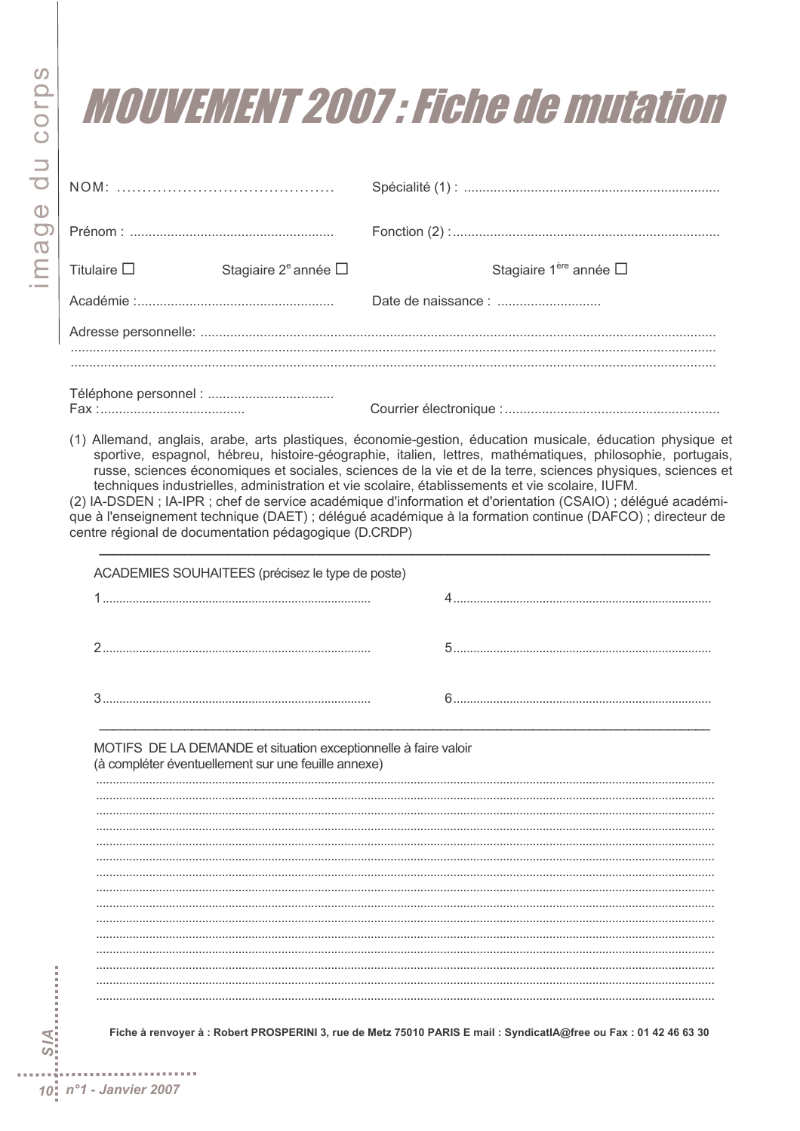## *MOUVEMENT 2007 : Fiche de mutation*

| Titulaire $\square$ | Stagiaire $2^e$ année $\Box$ | Stagiaire 1 <sup>ère</sup> année $\Box$ |  |
|---------------------|------------------------------|-----------------------------------------|--|
|                     |                              |                                         |  |
|                     |                              |                                         |  |
|                     |                              |                                         |  |
|                     |                              |                                         |  |

(1) Allemand, anglais, arabe, arts plastiques, économie-gestion, éducation musicale, éducation physique et sportive, espagnol, hébreu, histoire-géographie, italien, lettres, mathématiques, philosophie, portugais, russe, sciences économiques et sociales, sciences de la vie et de la terre, sciences physiques, sciences et techniques industrielles, administration et vie scolaire, établissements et vie scolaire, IUFM.

(2) IA-DSDEN; IA-IPR; chef de service académique d'information et d'orientation (CSAIO); délégué académique à l'enseignement technique (DAET) ; délégué académique à la formation continue (DAFCO) ; directeur de centre régional de documentation pédagogique (D.CRDP)

| ACADEMIES SOUHAITEES (précisez le type de poste)                                                                       |  |  |  |  |  |
|------------------------------------------------------------------------------------------------------------------------|--|--|--|--|--|
|                                                                                                                        |  |  |  |  |  |
|                                                                                                                        |  |  |  |  |  |
|                                                                                                                        |  |  |  |  |  |
| MOTIFS DE LA DEMANDE et situation exceptionnelle à faire valoir<br>(à compléter éventuellement sur une feuille annexe) |  |  |  |  |  |
|                                                                                                                        |  |  |  |  |  |
|                                                                                                                        |  |  |  |  |  |
|                                                                                                                        |  |  |  |  |  |
|                                                                                                                        |  |  |  |  |  |
|                                                                                                                        |  |  |  |  |  |
|                                                                                                                        |  |  |  |  |  |
|                                                                                                                        |  |  |  |  |  |
|                                                                                                                        |  |  |  |  |  |
|                                                                                                                        |  |  |  |  |  |
|                                                                                                                        |  |  |  |  |  |
|                                                                                                                        |  |  |  |  |  |
|                                                                                                                        |  |  |  |  |  |
|                                                                                                                        |  |  |  |  |  |
|                                                                                                                        |  |  |  |  |  |

Fiche à renvoyer à : Robert PROSPERINI 3, rue de Metz 75010 PARIS E mail : SyndicatIA@free ou Fax : 01 42 46 63 30

医皮肤炎 医心包炎

**AIS**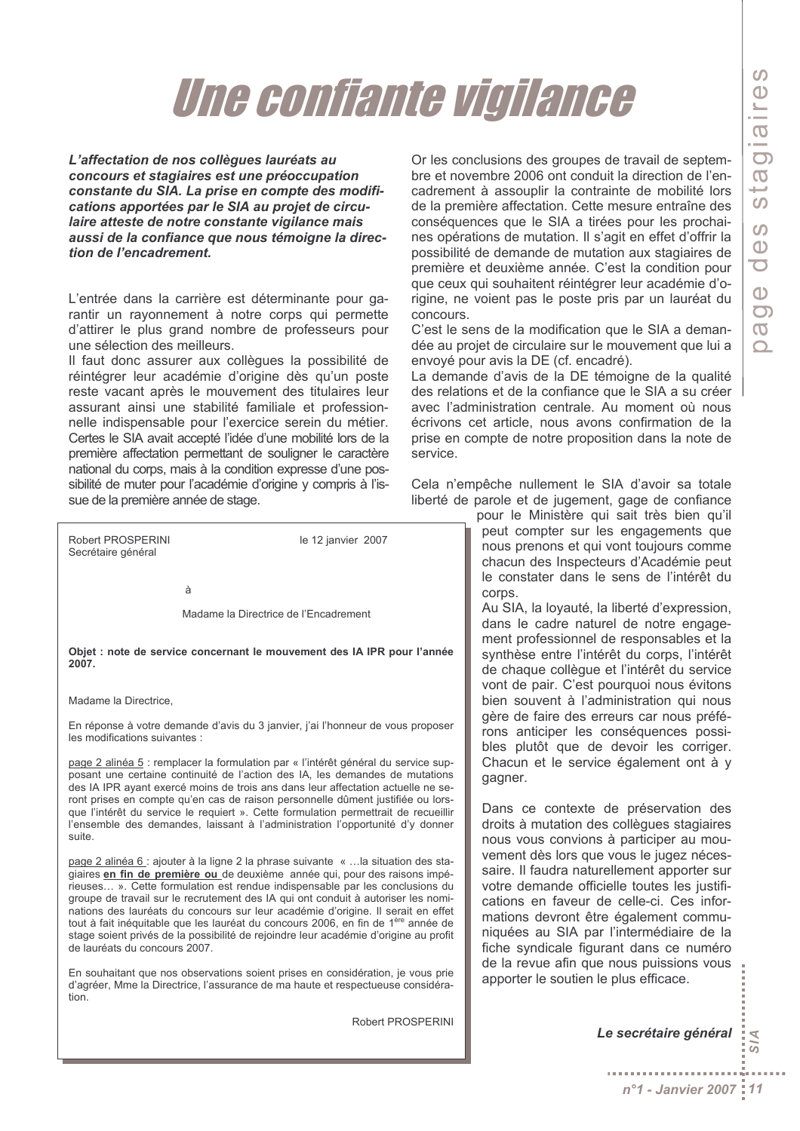# Une confiante vigilance

L'affectation de nos collègues lauréats au concours et stagiaires est une préoccupation constante du SIA. La prise en compte des modifications apportées par le SIA au projet de circulaire atteste de notre constante vigilance mais aussi de la confiance que nous témoigne la direction de l'encadrement.

L'entrée dans la carrière est déterminante pour garantir un rayonnement à notre corps qui permette d'attirer le plus grand nombre de professeurs pour une sélection des meilleurs.

Il faut donc assurer aux collèques la possibilité de réintégrer leur académie d'origine dès qu'un poste reste vacant après le mouvement des titulaires leur assurant ainsi une stabilité familiale et professionnelle indispensable pour l'exercice serein du métier. Certes le SIA avait accepté l'idée d'une mobilité lors de la première affectation permettant de souligner le caractère national du corps, mais à la condition expresse d'une possibilité de muter pour l'académie d'origine y compris à l'issue de la première année de stage.

Robert PROSPERINI le 12 janvier 2007 Secrétaire général  $\Delta$ Madame la Directrice de l'Encadrement Objet : note de service concernant le mouvement des IA IPR pour l'année 2007 Madame la Directrice. En réponse à votre demande d'avis du 3 janvier, j'ai l'honneur de vous proposer les modifications suivantes : page 2 alinéa 5 : remplacer la formulation par « l'intérêt général du service supposant une certaine continuité de l'action des IA, les demandes de mutations

des IA IPR ayant exercé moins de trois ans dans leur affectation actuelle ne seront prises en compte qu'en cas de raison personnelle dûment justifiée ou lorsque l'intérêt du service le requiert ». Cette formulation permettrait de recueillir l'ensemble des demandes, laissant à l'administration l'opportunité d'y donner suite.

page 2 alinéa 6 : ajouter à la ligne 2 la phrase suivante « ... la situation des stagiaires en fin de première ou de deuxième année qui, pour des raisons impérieuses... ». Cette formulation est rendue indispensable par les conclusions du groupe de travail sur le recrutement des IA qui ont conduit à autoriser les nominations des lauréats du concours sur leur académie d'origine. Il serait en effet tout à fait inéquitable que les lauréat du concours 2006, en fin de 1ère année de stage soient privés de la possibilité de rejoindre leur académie d'origine au profit de lauréats du concours 2007.

En souhaitant que nos observations soient prises en considération, je vous prie d'agréer. Mme la Directrice, l'assurance de ma haute et respectueuse considéra $tion$ 

Robert PROSPERINI

Or les conclusions des groupes de travail de septembre et novembre 2006 ont conduit la direction de l'encadrement à assouplir la contrainte de mobilité lors de la première affectation. Cette mesure entraîne des conséquences que le SIA a tirées pour les prochaines opérations de mutation. Il s'agit en effet d'offrir la possibilité de demande de mutation aux stagiaires de première et deuxième année. C'est la condition pour que ceux qui souhaitent réintégrer leur académie d'origine, ne voient pas le poste pris par un lauréat du concours.

C'est le sens de la modification que le SIA a demandée au projet de circulaire sur le mouvement que lui a envoyé pour avis la DE (cf. encadré).

La demande d'avis de la DE témoigne de la qualité des relations et de la confiance que le SIA a su créer avec l'administration centrale. Au moment où nous écrivons cet article, nous avons confirmation de la prise en compte de notre proposition dans la note de service

Cela n'empêche nullement le SIA d'avoir sa totale liberté de parole et de jugement, gage de confiance

pour le Ministère qui sait très bien qu'il peut compter sur les engagements que nous prenons et qui vont toujours comme chacun des Inspecteurs d'Académie peut le constater dans le sens de l'intérêt du corps

Au SIA, la loyauté, la liberté d'expression, dans le cadre naturel de notre engagement professionnel de responsables et la synthèse entre l'intérêt du corps, l'intérêt de chaque collègue et l'intérêt du service vont de pair. C'est pourquoi nous évitons bien souvent à l'administration qui nous gère de faire des erreurs car nous préférons anticiper les conséquences possibles plutôt que de devoir les corriger. Chacun et le service également ont à y gagner.

Dans ce contexte de préservation des droits à mutation des collègues stagiaires nous vous convions à participer au mouvement dès lors que vous le jugez nécessaire. Il faudra naturellement apporter sur votre demande officielle toutes les justifications en faveur de celle-ci. Ces informations devront être également communiquées au SIA par l'intermédiaire de la fiche syndicale figurant dans ce numéro de la revue afin que nous puissions vous apporter le soutien le plus efficace.

> Le secrétaire général Ā

. . . . . . . . . . . . . . .

ā